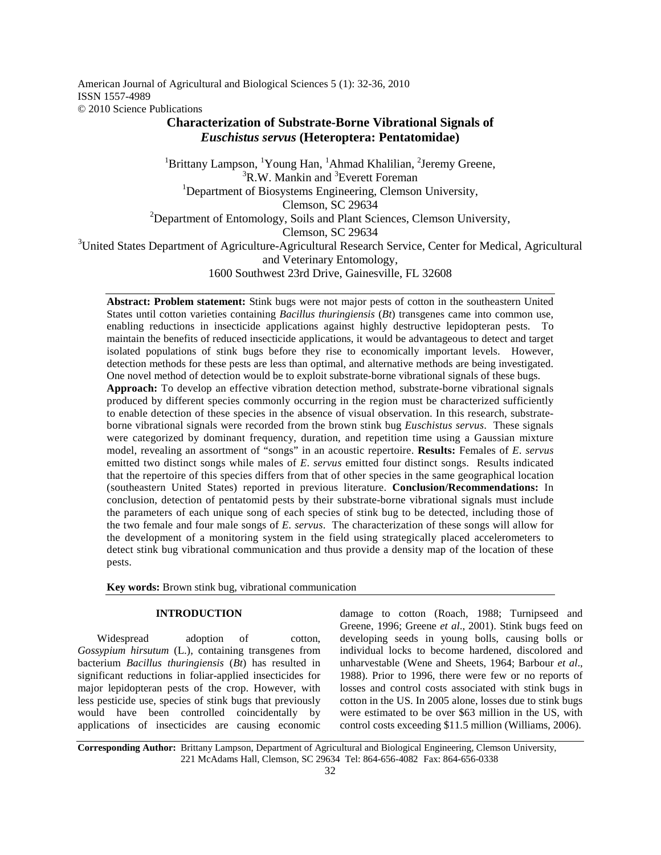American Journal of Agricultural and Biological Sciences 5 (1): 32-36, 2010 ISSN 1557-4989 © 2010 Science Publications

# **Characterization of Substrate-Borne Vibrational Signals of**  *Euschistus servus* **(Heteroptera: Pentatomidae)**

<sup>1</sup>Brittany Lampson, <sup>1</sup>Young Han, <sup>1</sup>Ahmad Khalilian, <sup>2</sup>Jeremy Greene,  ${}^{3}R.W.$  Mankin and  ${}^{3}E$ verett Foreman <sup>1</sup>Department of Biosystems Engineering, Clemson University, Clemson, SC 29634 <sup>2</sup>Department of Entomology, Soils and Plant Sciences, Clemson University, Clemson, SC 29634 <sup>3</sup>United States Department of Agriculture-Agricultural Research Service, Center for Medical, Agricultural and Veterinary Entomology, 1600 Southwest 23rd Drive, Gainesville, FL 32608

**Abstract: Problem statement:** Stink bugs were not major pests of cotton in the southeastern United States until cotton varieties containing *Bacillus thuringiensis* (*Bt*) transgenes came into common use, enabling reductions in insecticide applications against highly destructive lepidopteran pests. To maintain the benefits of reduced insecticide applications, it would be advantageous to detect and target isolated populations of stink bugs before they rise to economically important levels. However, detection methods for these pests are less than optimal, and alternative methods are being investigated. One novel method of detection would be to exploit substrate-borne vibrational signals of these bugs.

**Approach:** To develop an effective vibration detection method, substrate-borne vibrational signals produced by different species commonly occurring in the region must be characterized sufficiently to enable detection of these species in the absence of visual observation. In this research, substrateborne vibrational signals were recorded from the brown stink bug *Euschistus servus*. These signals were categorized by dominant frequency, duration, and repetition time using a Gaussian mixture model, revealing an assortment of "songs" in an acoustic repertoire. **Results:** Females of *E*. *servus*  emitted two distinct songs while males of *E*. *servus* emitted four distinct songs. Results indicated that the repertoire of this species differs from that of other species in the same geographical location (southeastern United States) reported in previous literature. **Conclusion/Recommendations:** In conclusion, detection of pentatomid pests by their substrate-borne vibrational signals must include the parameters of each unique song of each species of stink bug to be detected, including those of the two female and four male songs of *E. servus*. The characterization of these songs will allow for the development of a monitoring system in the field using strategically placed accelerometers to detect stink bug vibrational communication and thus provide a density map of the location of these pests.

**Key words:** Brown stink bug, vibrational communication

## **INTRODUCTION**

Widespread adoption of cotton, *Gossypium hirsutum* (L.), containing transgenes from bacterium *Bacillus thuringiensis* (*Bt*) has resulted in significant reductions in foliar-applied insecticides for major lepidopteran pests of the crop. However, with less pesticide use, species of stink bugs that previously would have been controlled coincidentally by applications of insecticides are causing economic

damage to cotton (Roach, 1988; Turnipseed and Greene, 1996; Greene *et al*., 2001). Stink bugs feed on developing seeds in young bolls, causing bolls or individual locks to become hardened, discolored and unharvestable (Wene and Sheets, 1964; Barbour *et al*., 1988). Prior to 1996, there were few or no reports of losses and control costs associated with stink bugs in cotton in the US. In 2005 alone, losses due to stink bugs were estimated to be over \$63 million in the US, with control costs exceeding \$11.5 million (Williams, 2006).

**Corresponding Author:** Brittany Lampson, Department of Agricultural and Biological Engineering, Clemson University, 221 McAdams Hall, Clemson, SC 29634 Tel: 864-656-4082 Fax: 864-656-0338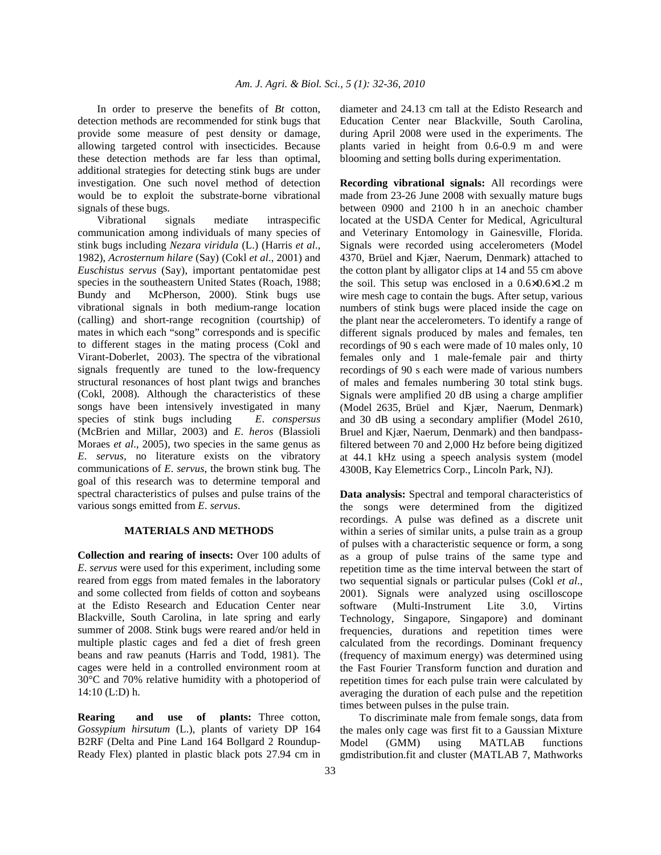In order to preserve the benefits of *Bt* cotton, detection methods are recommended for stink bugs that provide some measure of pest density or damage, allowing targeted control with insecticides. Because these detection methods are far less than optimal, additional strategies for detecting stink bugs are under investigation. One such novel method of detection would be to exploit the substrate-borne vibrational signals of these bugs.

 Vibrational signals mediate intraspecific communication among individuals of many species of stink bugs including *Nezara viridula* (L.) (Harris *et al*., 1982), *Acrosternum hilare* (Say) (Cokl *et al*., 2001) and *Euschistus servus* (Say), important pentatomidae pest species in the southeastern United States (Roach, 1988; Bundy and McPherson, 2000). Stink bugs use vibrational signals in both medium-range location (calling) and short-range recognition (courtship) of mates in which each "song" corresponds and is specific to different stages in the mating process (Cokl and Virant-Doberlet, 2003). The spectra of the vibrational signals frequently are tuned to the low-frequency structural resonances of host plant twigs and branches (Cokl, 2008). Although the characteristics of these songs have been intensively investigated in many species of stink bugs including *E*. *conspersus* (McBrien and Millar, 2003) and *E*. *heros* (Blassioli Moraes *et al*., 2005), two species in the same genus as *E*. *servus*, no literature exists on the vibratory communications of *E*. *servus*, the brown stink bug. The goal of this research was to determine temporal and spectral characteristics of pulses and pulse trains of the various songs emitted from *E*. *servus*.

### **MATERIALS AND METHODS**

**Collection and rearing of insects:** Over 100 adults of *E*. *servus* were used for this experiment, including some reared from eggs from mated females in the laboratory and some collected from fields of cotton and soybeans at the Edisto Research and Education Center near Blackville, South Carolina, in late spring and early summer of 2008. Stink bugs were reared and/or held in multiple plastic cages and fed a diet of fresh green beans and raw peanuts (Harris and Todd, 1981). The cages were held in a controlled environment room at 30°C and 70% relative humidity with a photoperiod of 14:10 (L:D) h.

**Rearing and use of plants:** Three cotton, *Gossypium hirsutum* (L.), plants of variety DP 164 B2RF (Delta and Pine Land 164 Bollgard 2 Roundup-Ready Flex) planted in plastic black pots 27.94 cm in diameter and 24.13 cm tall at the Edisto Research and Education Center near Blackville, South Carolina, during April 2008 were used in the experiments. The plants varied in height from 0.6-0.9 m and were blooming and setting bolls during experimentation.

**Recording vibrational signals:** All recordings were made from 23-26 June 2008 with sexually mature bugs between 0900 and 2100 h in an anechoic chamber located at the USDA Center for Medical, Agricultural and Veterinary Entomology in Gainesville, Florida. Signals were recorded using accelerometers (Model 4370, Brüel and Kjær, Naerum, Denmark) attached to the cotton plant by alligator clips at 14 and 55 cm above the soil. This setup was enclosed in a  $0.6\times0.6\times1.2$  m wire mesh cage to contain the bugs. After setup, various numbers of stink bugs were placed inside the cage on the plant near the accelerometers. To identify a range of different signals produced by males and females, ten recordings of 90 s each were made of 10 males only, 10 females only and 1 male-female pair and thirty recordings of 90 s each were made of various numbers of males and females numbering 30 total stink bugs. Signals were amplified 20 dB using a charge amplifier (Model 2635, Brüel and Kjær, Naerum, Denmark) and 30 dB using a secondary amplifier (Model 2610, Bruel and Kjær, Naerum, Denmark) and then bandpassfiltered between 70 and 2,000 Hz before being digitized at 44.1 kHz using a speech analysis system (model 4300B, Kay Elemetrics Corp., Lincoln Park, NJ).

**Data analysis:** Spectral and temporal characteristics of the songs were determined from the digitized recordings. A pulse was defined as a discrete unit within a series of similar units, a pulse train as a group of pulses with a characteristic sequence or form, a song as a group of pulse trains of the same type and repetition time as the time interval between the start of two sequential signals or particular pulses (Cokl *et al*., 2001). Signals were analyzed using oscilloscope software (Multi-Instrument Lite 3.0, Virtins Technology, Singapore, Singapore) and dominant frequencies, durations and repetition times were calculated from the recordings. Dominant frequency (frequency of maximum energy) was determined using the Fast Fourier Transform function and duration and repetition times for each pulse train were calculated by averaging the duration of each pulse and the repetition times between pulses in the pulse train.

 To discriminate male from female songs, data from the males only cage was first fit to a Gaussian Mixture Model (GMM) using MATLAB functions gmdistribution.fit and cluster (MATLAB 7, Mathworks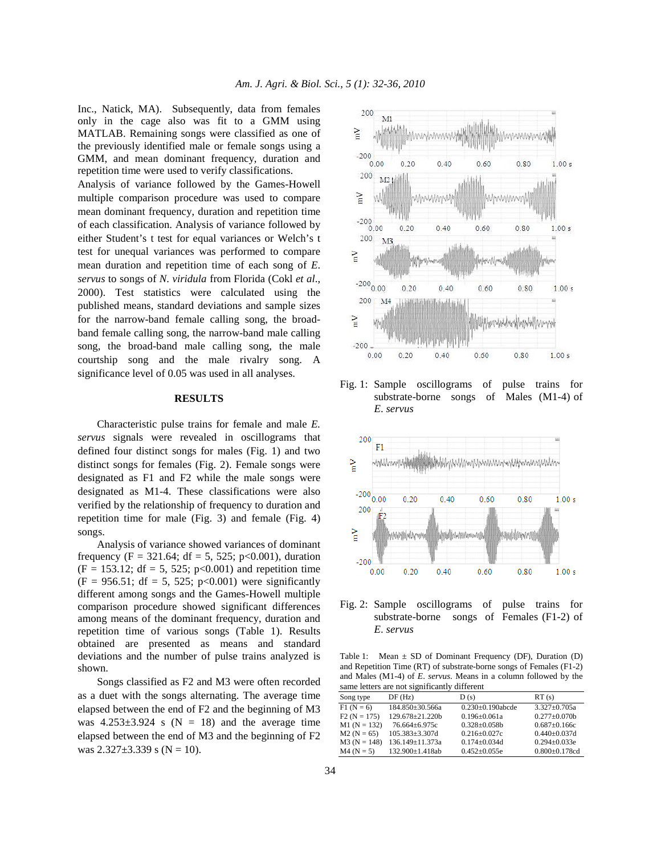Inc., Natick, MA). Subsequently, data from females only in the cage also was fit to a GMM using MATLAB. Remaining songs were classified as one of the previously identified male or female songs using a GMM, and mean dominant frequency, duration and repetition time were used to verify classifications.

Analysis of variance followed by the Games-Howell multiple comparison procedure was used to compare mean dominant frequency, duration and repetition time of each classification. Analysis of variance followed by either Student's t test for equal variances or Welch's t test for unequal variances was performed to compare mean duration and repetition time of each song of *E*. *servus* to songs of *N*. *viridula* from Florida (Cokl *et al*., 2000). Test statistics were calculated using the published means, standard deviations and sample sizes for the narrow-band female calling song, the broadband female calling song, the narrow-band male calling song, the broad-band male calling song, the male courtship song and the male rivalry song. A significance level of 0.05 was used in all analyses.

#### **RESULTS**

 Characteristic pulse trains for female and male *E. servus* signals were revealed in oscillograms that defined four distinct songs for males (Fig. 1) and two distinct songs for females (Fig. 2). Female songs were designated as F1 and F2 while the male songs were designated as M1-4. These classifications were also verified by the relationship of frequency to duration and repetition time for male (Fig. 3) and female (Fig. 4) songs.

 Analysis of variance showed variances of dominant frequency (F = 321.64; df = 5, 525; p<0.001), duration  $(F = 153.12; df = 5, 525; p<0.001)$  and repetition time  $(F = 956.51; df = 5, 525; p<0.001)$  were significantly different among songs and the Games-Howell multiple comparison procedure showed significant differences among means of the dominant frequency, duration and repetition time of various songs (Table 1). Results obtained are presented as means and standard deviations and the number of pulse trains analyzed is shown.

 Songs classified as F2 and M3 were often recorded as a duet with the songs alternating. The average time elapsed between the end of F2 and the beginning of M3 was  $4.253\pm3.924$  s (N = 18) and the average time elapsed between the end of M3 and the beginning of F2 was  $2.327 \pm 3.339$  s (N = 10).



Fig. 1: Sample oscillograms of pulse trains for substrate-borne songs of Males (M1-4) of *E*. *servus*



Fig. 2: Sample oscillograms of pulse trains for substrate-borne songs of Females (F1-2) of *E*. *servus*

Table 1: Mean  $\pm$  SD of Dominant Frequency (DF), Duration (D) and Repetition Time (RT) of substrate-borne songs of Females (F1-2) and Males (M1-4) of *E*. *servus*. Means in a column followed by the same letters are not significantly different

| Song type      | DF(Hz)                | D(s)                    | RT(s)                |
|----------------|-----------------------|-------------------------|----------------------|
| $F1(N = 6)$    | 184.850±30.566a       | $0.230 \pm 0.190$ abcde | $3.327 \pm 0.705a$   |
| $F2 (N = 175)$ | 129.678±21.220b       | $0.196 \pm 0.061a$      | $0.277 \pm 0.070$ b  |
| $M1 (N = 132)$ | 76.664±6.975c         | $0.328 \pm 0.058b$      | $0.687 \pm 0.166c$   |
| $M2 (N = 65)$  | $105.383 \pm 3.307$ d | $0.216 \pm 0.027c$      | $0.440 \pm 0.037$ d  |
| $M3 (N = 148)$ | 136.149±11.373a       | $0.174 \pm 0.034$ d     | $0.294 \pm 0.033e$   |
| $M4 (N = 5)$   | 132.900±1.418ab       | $0.452 \pm 0.055e$      | $0.800 \pm 0.178$ cd |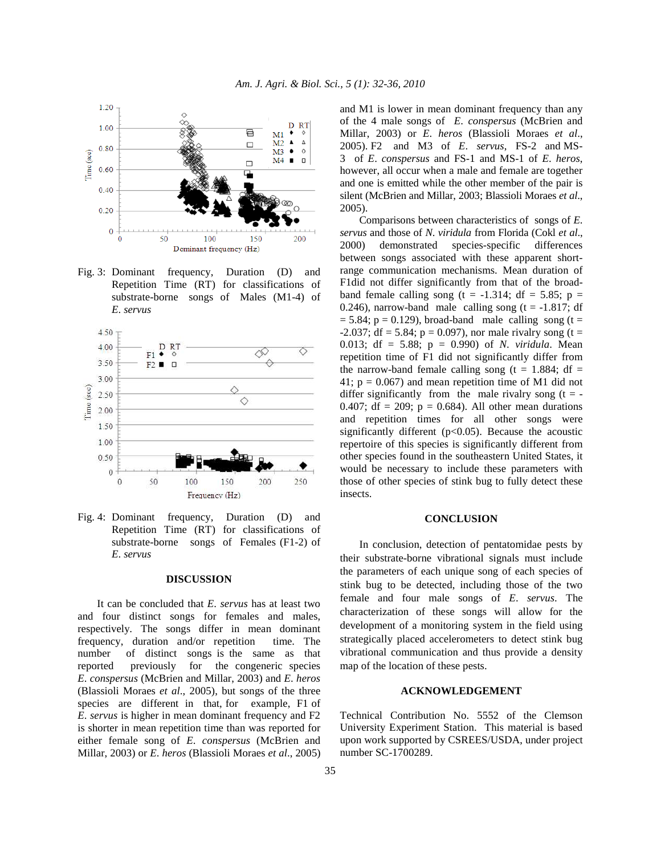

Fig. 3: Dominant frequency, Duration (D) and Repetition Time (RT) for classifications of substrate-borne songs of Males (M1-4) of *E*. *servus* 



Fig. 4: Dominant frequency, Duration (D) and Repetition Time (RT) for classifications of substrate-borne songs of Females (F1-2) of *E*. *servus* 

#### **DISCUSSION**

 It can be concluded that *E*. *servus* has at least two and four distinct songs for females and males, respectively. The songs differ in mean dominant frequency, duration and/or repetition time. The number of distinct songs is the same as that reported previously for the congeneric species *E*. *conspersus* (McBrien and Millar, 2003) and *E*. *heros* (Blassioli Moraes *et al*., 2005), but songs of the three species are different in that, for example, F1 of *E*. *servus* is higher in mean dominant frequency and F2 is shorter in mean repetition time than was reported for either female song of *E*. *conspersus* (McBrien and Millar, 2003) or *E*. *heros* (Blassioli Moraes *et al*., 2005) and M1 is lower in mean dominant frequency than any of the 4 male songs of *E*. *conspersus* (McBrien and Millar, 2003) or *E*. *heros* (Blassioli Moraes *et al*., 2005). F2 and M3 of *E*. *servus*, FS-2 and MS-3 of *E*. *conspersus* and FS-1 and MS-1 of *E*. *heros*, however, all occur when a male and female are together and one is emitted while the other member of the pair is silent (McBrien and Millar, 2003; Blassioli Moraes *et al*., 2005).

 Comparisons between characteristics of songs of *E*. *servus* and those of *N*. *viridula* from Florida (Cokl *et al*., 2000) demonstrated species-specific differences between songs associated with these apparent shortrange communication mechanisms. Mean duration of F1did not differ significantly from that of the broadband female calling song (t =  $-1.314$ ; df = 5.85; p = 0.246), narrow-band male calling song  $(t = -1.817; df)$  $= 5.84$ ; p = 0.129), broad-band male calling song (t =  $-2.037$ ; df = 5.84; p = 0.097), nor male rivalry song (t = 0.013; df = 5.88; p = 0.990) of *N*. *viridula*. Mean repetition time of F1 did not significantly differ from the narrow-band female calling song (t = 1.884; df = 41;  $p = 0.067$  and mean repetition time of M1 did not differ significantly from the male rivalry song  $(t = -$ 0.407; df = 209;  $p = 0.684$ ). All other mean durations and repetition times for all other songs were significantly different ( $p<0.05$ ). Because the acoustic repertoire of this species is significantly different from other species found in the southeastern United States, it would be necessary to include these parameters with those of other species of stink bug to fully detect these insects.

#### **CONCLUSION**

 In conclusion, detection of pentatomidae pests by their substrate-borne vibrational signals must include the parameters of each unique song of each species of stink bug to be detected, including those of the two female and four male songs of *E*. *servus*. The characterization of these songs will allow for the development of a monitoring system in the field using strategically placed accelerometers to detect stink bug vibrational communication and thus provide a density map of the location of these pests.

## **ACKNOWLEDGEMENT**

Technical Contribution No. 5552 of the Clemson University Experiment Station. This material is based upon work supported by CSREES/USDA, under project number SC-1700289.